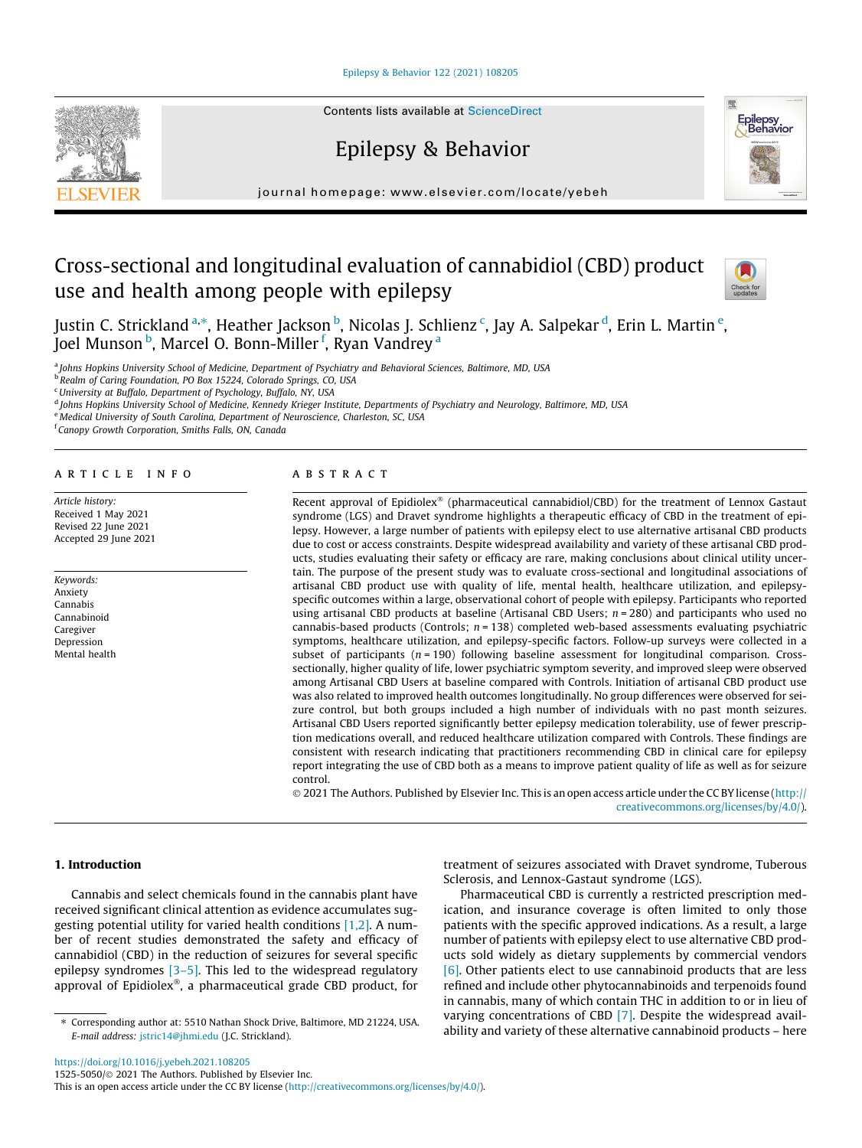[Epilepsy & Behavior 122 \(2021\) 108205](https://doi.org/10.1016/j.yebeh.2021.108205)

Contents lists available at [ScienceDirect](http://www.sciencedirect.com/science/journal/15255050)

# Epilepsy & Behavior

journal homepage: [www.elsevier.com/locate/yebeh](http://www.elsevier.com/locate/yebeh)

# Cross-sectional and longitudinal evaluation of cannabidiol (CBD) product use and health among people with epilepsy



Behavior

Justin C. Strickland <sup>a,</sup>\*, Heather Jackson <sup>b</sup>, Nicolas J. Schlienz <sup>c</sup>, Jay A. Salpekar <sup>d</sup>, Erin L. Martin <sup>e</sup>, Joel Munson <sup>b</sup>, Marcel O. Bonn-Miller <sup>f</sup>, Ryan Vandrey <sup>a</sup>

a *Johns Hopkins University School of Medicine, Department of Psychiatry and Behavioral Sciences, Baltimore, MD, USA*

b *Realm of Caring Foundation, PO Box 15224, Colorado Springs, CO, USA*

<sup>c</sup>*University at Buffalo, Department of Psychology, Buffalo, NY, USA*

d *Johns Hopkins University School of Medicine, Kennedy Krieger Institute, Departments of Psychiatry and Neurology, Baltimore, MD, USA*

<sup>e</sup> *Medical University of South Carolina, Department of Neuroscience, Charleston, SC, USA*

f *Canopy Growth Corporation, Smiths Falls, ON, Canada*

### article info

*Article history:* Received 1 May 2021 Revised 22 June 2021 Accepted 29 June 2021

*Keywords:* Anxiety Cannabis Cannabinoid Caregiver Depression Mental health

# A B S T R A C T

Recent approval of Epidiolex® (pharmaceutical cannabidiol/CBD) for the treatment of Lennox Gastaut syndrome (LGS) and Dravet syndrome highlights a therapeutic efficacy of CBD in the treatment of epilepsy. However, a large number of patients with epilepsy elect to use alternative artisanal CBD products due to cost or access constraints. Despite widespread availability and variety of these artisanal CBD products, studies evaluating their safety or efficacy are rare, making conclusions about clinical utility uncertain. The purpose of the present study was to evaluate cross-sectional and longitudinal associations of artisanal CBD product use with quality of life, mental health, healthcare utilization, and epilepsyspecific outcomes within a large, observational cohort of people with epilepsy. Participants who reported using artisanal CBD products at baseline (Artisanal CBD Users; *n* = 280) and participants who used no cannabis-based products (Controls; *n* = 138) completed web-based assessments evaluating psychiatric symptoms, healthcare utilization, and epilepsy-specific factors. Follow-up surveys were collected in a subset of participants ( $n = 190$ ) following baseline assessment for longitudinal comparison. Crosssectionally, higher quality of life, lower psychiatric symptom severity, and improved sleep were observed among Artisanal CBD Users at baseline compared with Controls. Initiation of artisanal CBD product use was also related to improved health outcomes longitudinally. No group differences were observed for seizure control, but both groups included a high number of individuals with no past month seizures. Artisanal CBD Users reported significantly better epilepsy medication tolerability, use of fewer prescription medications overall, and reduced healthcare utilization compared with Controls. These findings are consistent with research indicating that practitioners recommending CBD in clinical care for epilepsy report integrating the use of CBD both as a means to improve patient quality of life as well as for seizure control.

 2021 The Authors. Published by Elsevier Inc. This is an open access article under the CC BY license ([http://](http://creativecommons.org/licenses/by/4.0/) [creativecommons.org/licenses/by/4.0/](http://creativecommons.org/licenses/by/4.0/)).

# 1. Introduction

Cannabis and select chemicals found in the cannabis plant have received significant clinical attention as evidence accumulates suggesting potential utility for varied health conditions [\[1,2\]](#page-7-0). A number of recent studies demonstrated the safety and efficacy of cannabidiol (CBD) in the reduction of seizures for several specific epilepsy syndromes  $[3-5]$ . This led to the widespread regulatory approval of Epidiolex®, a pharmaceutical grade CBD product, for

treatment of seizures associated with Dravet syndrome, Tuberous Sclerosis, and Lennox-Gastaut syndrome (LGS).

Pharmaceutical CBD is currently a restricted prescription medication, and insurance coverage is often limited to only those patients with the specific approved indications. As a result, a large number of patients with epilepsy elect to use alternative CBD products sold widely as dietary supplements by commercial vendors [\[6\]](#page-7-0). Other patients elect to use cannabinoid products that are less refined and include other phytocannabinoids and terpenoids found in cannabis, many of which contain THC in addition to or in lieu of varying concentrations of CBD [\[7\]](#page-7-0). Despite the widespread availability and variety of these alternative cannabinoid products – here

<https://doi.org/10.1016/j.yebeh.2021.108205> 1525-5050/© 2021 The Authors. Published by Elsevier Inc.

This is an open access article under the CC BY license ([http://creativecommons.org/licenses/by/4.0/\)](http://creativecommons.org/licenses/by/4.0/).

<sup>⇑</sup> Corresponding author at: 5510 Nathan Shock Drive, Baltimore, MD 21224, USA. *E-mail address:* [jstric14@jhmi.edu](mailto:jstric14@jhmi.edu) (J.C. Strickland).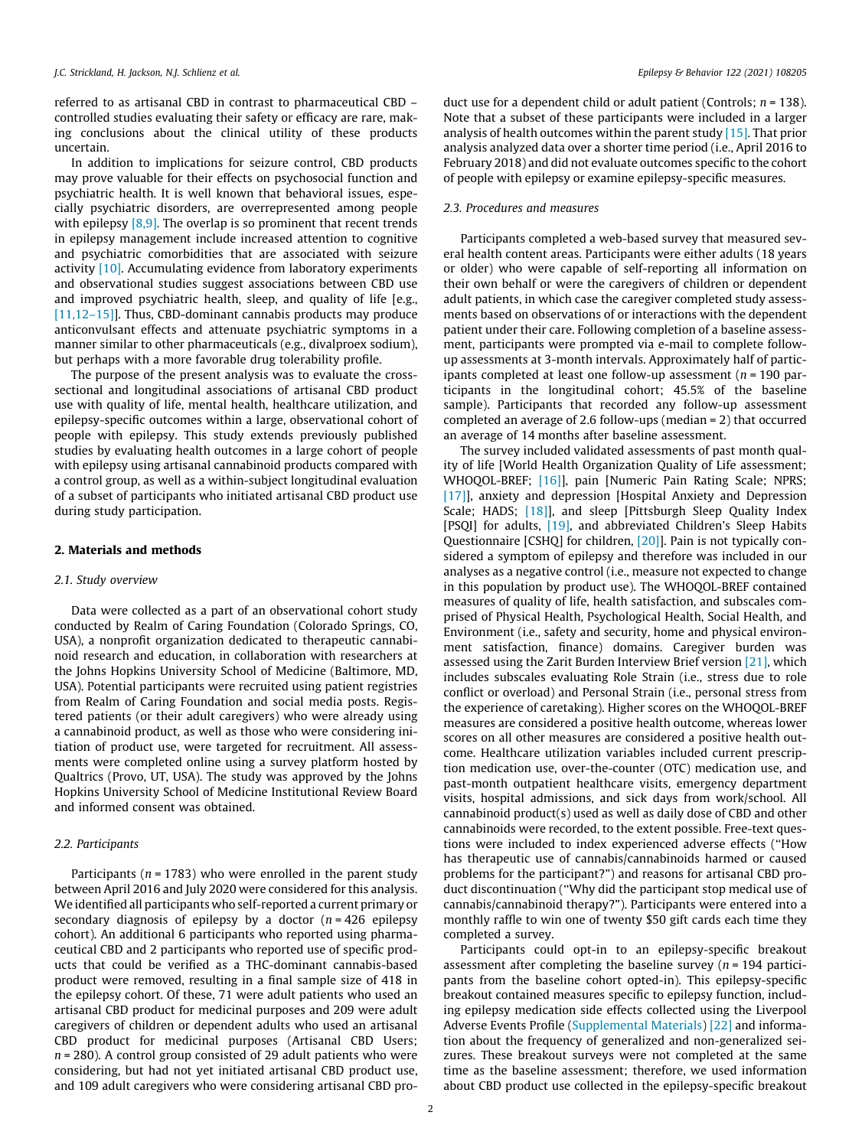referred to as artisanal CBD in contrast to pharmaceutical CBD – controlled studies evaluating their safety or efficacy are rare, making conclusions about the clinical utility of these products uncertain.

In addition to implications for seizure control, CBD products may prove valuable for their effects on psychosocial function and psychiatric health. It is well known that behavioral issues, especially psychiatric disorders, are overrepresented among people with epilepsy  $[8,9]$ . The overlap is so prominent that recent trends in epilepsy management include increased attention to cognitive and psychiatric comorbidities that are associated with seizure activity [\[10\].](#page-7-0) Accumulating evidence from laboratory experiments and observational studies suggest associations between CBD use and improved psychiatric health, sleep, and quality of life [e.g., [\[11,12–15\]\]](#page-7-0). Thus, CBD-dominant cannabis products may produce anticonvulsant effects and attenuate psychiatric symptoms in a manner similar to other pharmaceuticals (e.g., divalproex sodium), but perhaps with a more favorable drug tolerability profile.

The purpose of the present analysis was to evaluate the crosssectional and longitudinal associations of artisanal CBD product use with quality of life, mental health, healthcare utilization, and epilepsy-specific outcomes within a large, observational cohort of people with epilepsy. This study extends previously published studies by evaluating health outcomes in a large cohort of people with epilepsy using artisanal cannabinoid products compared with a control group, as well as a within-subject longitudinal evaluation of a subset of participants who initiated artisanal CBD product use during study participation.

#### 2. Materials and methods

#### *2.1. Study overview*

Data were collected as a part of an observational cohort study conducted by Realm of Caring Foundation (Colorado Springs, CO, USA), a nonprofit organization dedicated to therapeutic cannabinoid research and education, in collaboration with researchers at the Johns Hopkins University School of Medicine (Baltimore, MD, USA). Potential participants were recruited using patient registries from Realm of Caring Foundation and social media posts. Registered patients (or their adult caregivers) who were already using a cannabinoid product, as well as those who were considering initiation of product use, were targeted for recruitment. All assessments were completed online using a survey platform hosted by Qualtrics (Provo, UT, USA). The study was approved by the Johns Hopkins University School of Medicine Institutional Review Board and informed consent was obtained.

# *2.2. Participants*

Participants (*n* = 1783) who were enrolled in the parent study between April 2016 and July 2020 were considered for this analysis. We identified all participants who self-reported a current primary or secondary diagnosis of epilepsy by a doctor (*n* = 426 epilepsy cohort). An additional 6 participants who reported using pharmaceutical CBD and 2 participants who reported use of specific products that could be verified as a THC-dominant cannabis-based product were removed, resulting in a final sample size of 418 in the epilepsy cohort. Of these, 71 were adult patients who used an artisanal CBD product for medicinal purposes and 209 were adult caregivers of children or dependent adults who used an artisanal CBD product for medicinal purposes (Artisanal CBD Users; *n* = 280). A control group consisted of 29 adult patients who were considering, but had not yet initiated artisanal CBD product use, and 109 adult caregivers who were considering artisanal CBD product use for a dependent child or adult patient (Controls; *n* = 138). Note that a subset of these participants were included in a larger analysis of health outcomes within the parent study [\[15\].](#page-7-0) That prior analysis analyzed data over a shorter time period (i.e., April 2016 to February 2018) and did not evaluate outcomes specific to the cohort of people with epilepsy or examine epilepsy-specific measures.

### *2.3. Procedures and measures*

Participants completed a web-based survey that measured several health content areas. Participants were either adults (18 years or older) who were capable of self-reporting all information on their own behalf or were the caregivers of children or dependent adult patients, in which case the caregiver completed study assessments based on observations of or interactions with the dependent patient under their care. Following completion of a baseline assessment, participants were prompted via e-mail to complete followup assessments at 3-month intervals. Approximately half of participants completed at least one follow-up assessment (*n* = 190 participants in the longitudinal cohort; 45.5% of the baseline sample). Participants that recorded any follow-up assessment completed an average of 2.6 follow-ups (median = 2) that occurred an average of 14 months after baseline assessment.

The survey included validated assessments of past month quality of life [World Health Organization Quality of Life assessment; WHOQOL-BREF; [\[16\]\]](#page-7-0), pain [Numeric Pain Rating Scale; NPRS; [\[17\]](#page-7-0)], anxiety and depression [Hospital Anxiety and Depression Scale; HADS; [18], and sleep [Pittsburgh Sleep Quality Index [PSQI] for adults, [\[19\],](#page-7-0) and abbreviated Children's Sleep Habits Questionnaire [CSHQ] for children, [\[20\]\]](#page-7-0). Pain is not typically considered a symptom of epilepsy and therefore was included in our analyses as a negative control (i.e., measure not expected to change in this population by product use). The WHOQOL-BREF contained measures of quality of life, health satisfaction, and subscales comprised of Physical Health, Psychological Health, Social Health, and Environment (i.e., safety and security, home and physical environment satisfaction, finance) domains. Caregiver burden was assessed using the Zarit Burden Interview Brief version [\[21\]](#page-7-0), which includes subscales evaluating Role Strain (i.e., stress due to role conflict or overload) and Personal Strain (i.e., personal stress from the experience of caretaking). Higher scores on the WHOQOL-BREF measures are considered a positive health outcome, whereas lower scores on all other measures are considered a positive health outcome. Healthcare utilization variables included current prescription medication use, over-the-counter (OTC) medication use, and past-month outpatient healthcare visits, emergency department visits, hospital admissions, and sick days from work/school. All cannabinoid product(s) used as well as daily dose of CBD and other cannabinoids were recorded, to the extent possible. Free-text questions were included to index experienced adverse effects (''How has therapeutic use of cannabis/cannabinoids harmed or caused problems for the participant?") and reasons for artisanal CBD product discontinuation (''Why did the participant stop medical use of cannabis/cannabinoid therapy?"). Participants were entered into a monthly raffle to win one of twenty \$50 gift cards each time they completed a survey.

Participants could opt-in to an epilepsy-specific breakout assessment after completing the baseline survey (*n* = 194 participants from the baseline cohort opted-in). This epilepsy-specific breakout contained measures specific to epilepsy function, including epilepsy medication side effects collected using the Liverpool Adverse Events Profile (Supplemental Materials) [\[22\]](#page-7-0) and information about the frequency of generalized and non-generalized seizures. These breakout surveys were not completed at the same time as the baseline assessment; therefore, we used information about CBD product use collected in the epilepsy-specific breakout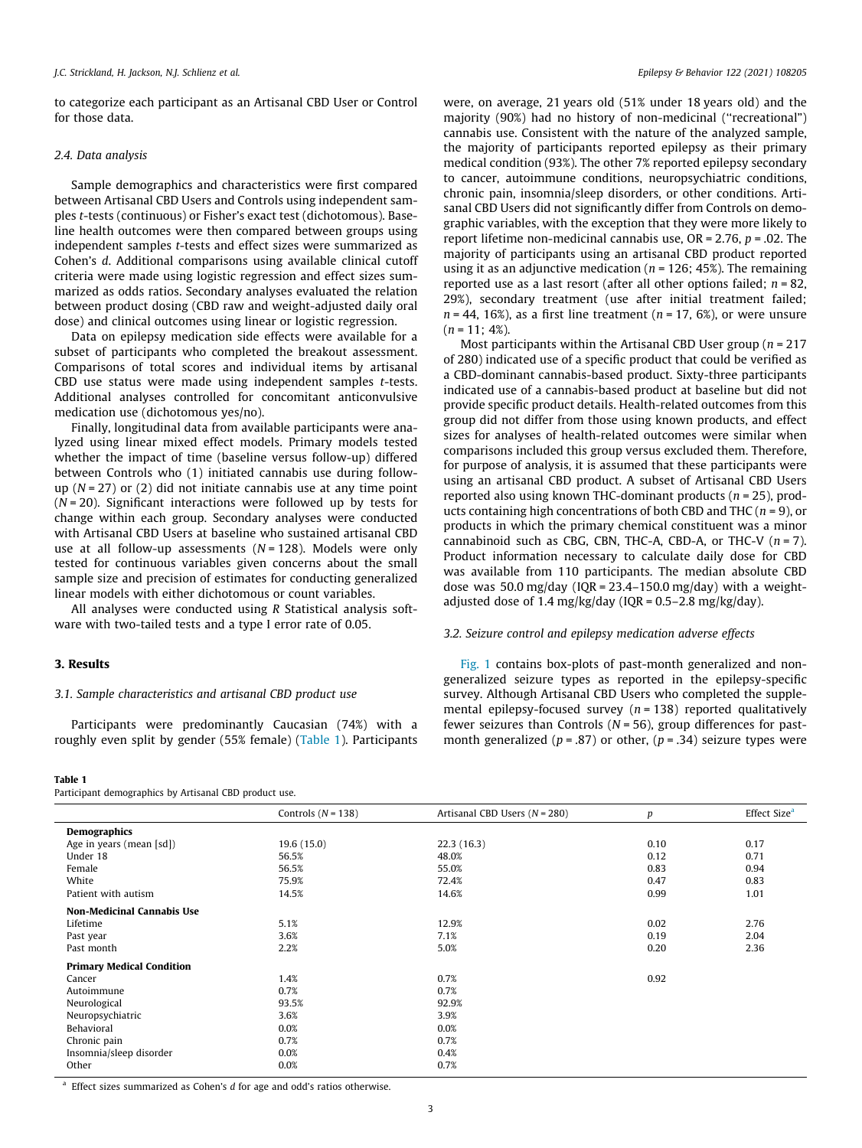to categorize each participant as an Artisanal CBD User or Control for those data.

# *2.4. Data analysis*

Sample demographics and characteristics were first compared between Artisanal CBD Users and Controls using independent samples *t*-tests (continuous) or Fisher's exact test (dichotomous). Baseline health outcomes were then compared between groups using independent samples *t*-tests and effect sizes were summarized as Cohen's *d*. Additional comparisons using available clinical cutoff criteria were made using logistic regression and effect sizes summarized as odds ratios. Secondary analyses evaluated the relation between product dosing (CBD raw and weight-adjusted daily oral dose) and clinical outcomes using linear or logistic regression.

Data on epilepsy medication side effects were available for a subset of participants who completed the breakout assessment. Comparisons of total scores and individual items by artisanal CBD use status were made using independent samples *t*-tests. Additional analyses controlled for concomitant anticonvulsive medication use (dichotomous yes/no).

Finally, longitudinal data from available participants were analyzed using linear mixed effect models. Primary models tested whether the impact of time (baseline versus follow-up) differed between Controls who (1) initiated cannabis use during followup (*N* = 27) or (2) did not initiate cannabis use at any time point (*N* = 20). Significant interactions were followed up by tests for change within each group. Secondary analyses were conducted with Artisanal CBD Users at baseline who sustained artisanal CBD use at all follow-up assessments (*N* = 128). Models were only tested for continuous variables given concerns about the small sample size and precision of estimates for conducting generalized linear models with either dichotomous or count variables.

All analyses were conducted using *R* Statistical analysis software with two-tailed tests and a type I error rate of 0.05.

# 3. Results

#### *3.1. Sample characteristics and artisanal CBD product use*

Participants were predominantly Caucasian (74%) with a roughly even split by gender (55% female) (Table 1). Participants

#### Table 1

Participant demographics by Artisanal CBD product use.

were, on average, 21 years old (51% under 18 years old) and the majority (90%) had no history of non-medicinal (''recreational") cannabis use. Consistent with the nature of the analyzed sample, the majority of participants reported epilepsy as their primary medical condition (93%). The other 7% reported epilepsy secondary to cancer, autoimmune conditions, neuropsychiatric conditions, chronic pain, insomnia/sleep disorders, or other conditions. Artisanal CBD Users did not significantly differ from Controls on demographic variables, with the exception that they were more likely to report lifetime non-medicinal cannabis use, OR = 2.76, *p* = .02. The majority of participants using an artisanal CBD product reported using it as an adjunctive medication (*n* = 126; 45%). The remaining reported use as a last resort (after all other options failed; *n* = 82, 29%), secondary treatment (use after initial treatment failed; *n* = 44, 16%), as a first line treatment (*n* = 17, 6%), or were unsure  $(n = 11:4\%)$ .

Most participants within the Artisanal CBD User group (*n* = 217 of 280) indicated use of a specific product that could be verified as a CBD-dominant cannabis-based product. Sixty-three participants indicated use of a cannabis-based product at baseline but did not provide specific product details. Health-related outcomes from this group did not differ from those using known products, and effect sizes for analyses of health-related outcomes were similar when comparisons included this group versus excluded them. Therefore, for purpose of analysis, it is assumed that these participants were using an artisanal CBD product. A subset of Artisanal CBD Users reported also using known THC-dominant products (*n* = 25), products containing high concentrations of both CBD and THC (*n* = 9), or products in which the primary chemical constituent was a minor cannabinoid such as CBG, CBN, THC-A, CBD-A, or THC-V (*n* = 7). Product information necessary to calculate daily dose for CBD was available from 110 participants. The median absolute CBD dose was 50.0 mg/day (IQR =  $23.4-150.0$  mg/day) with a weightadjusted dose of 1.4 mg/kg/day (IQR =  $0.5-2.8$  mg/kg/day).

#### *3.2. Seizure control and epilepsy medication adverse effects*

[Fig. 1](#page-3-0) contains box-plots of past-month generalized and nongeneralized seizure types as reported in the epilepsy-specific survey. Although Artisanal CBD Users who completed the supplemental epilepsy-focused survey (*n* = 138) reported qualitatively fewer seizures than Controls ( $N = 56$ ), group differences for pastmonth generalized ( $p = .87$ ) or other, ( $p = .34$ ) seizure types were

| Controls $(N = 138)$ | Artisanal CBD Users $(N = 280)$ | $\boldsymbol{p}$ | Effect Size <sup>a</sup> |
|----------------------|---------------------------------|------------------|--------------------------|
|                      |                                 |                  |                          |
| 19.6(15.0)           | 22.3(16.3)                      | 0.10             | 0.17                     |
| 56.5%                | 48.0%                           | 0.12             | 0.71                     |
| 56.5%                | 55.0%                           | 0.83             | 0.94                     |
| 75.9%                | 72.4%                           | 0.47             | 0.83                     |
| 14.5%                | 14.6%                           | 0.99             | 1.01                     |
|                      |                                 |                  |                          |
| 5.1%                 | 12.9%                           | 0.02             | 2.76                     |
| 3.6%                 | 7.1%                            | 0.19             | 2.04                     |
| 2.2%                 | 5.0%                            | 0.20             | 2.36                     |
|                      |                                 |                  |                          |
| 1.4%                 | 0.7%                            | 0.92             |                          |
| 0.7%                 | 0.7%                            |                  |                          |
| 93.5%                | 92.9%                           |                  |                          |
| 3.6%                 | 3.9%                            |                  |                          |
| 0.0%                 | 0.0%                            |                  |                          |
| 0.7%                 | 0.7%                            |                  |                          |
| 0.0%                 | 0.4%                            |                  |                          |
| 0.0%                 | 0.7%                            |                  |                          |
|                      |                                 |                  |                          |

<sup>a</sup> Effect sizes summarized as Cohen's *d* for age and odd's ratios otherwise.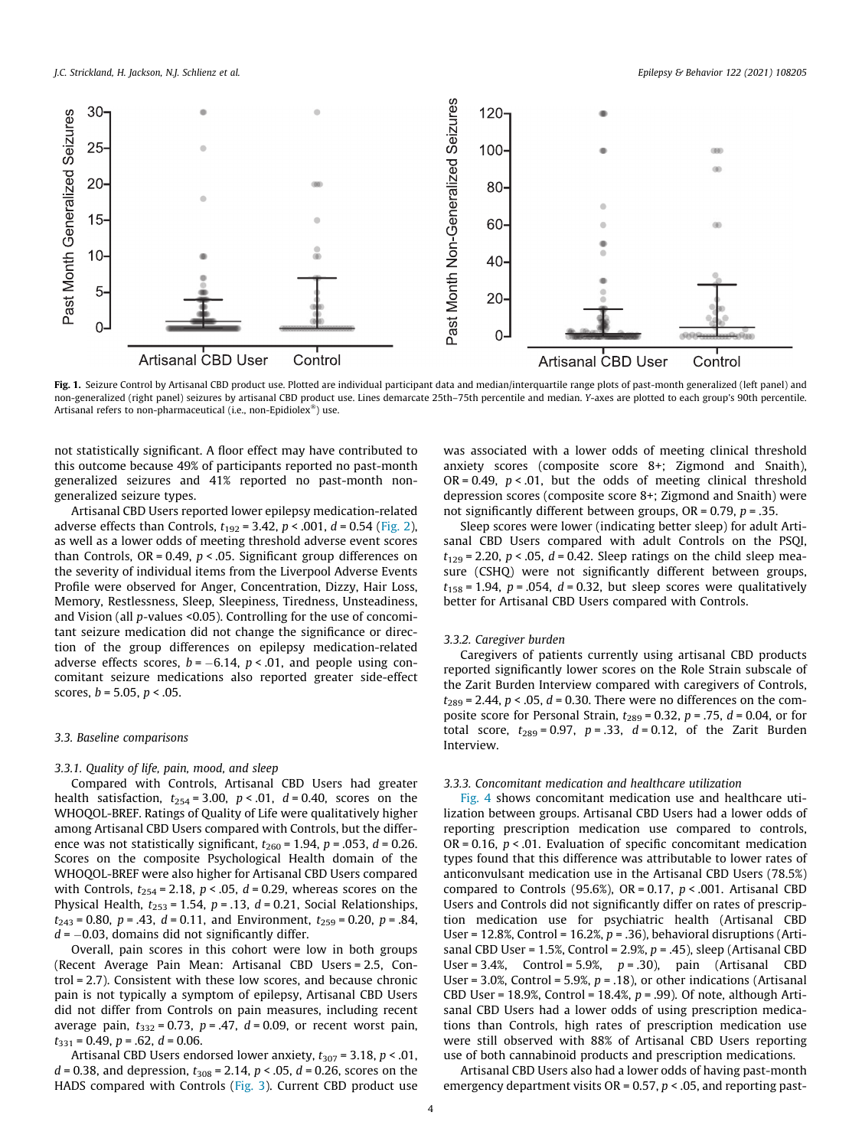<span id="page-3-0"></span>

Fig. 1. Seizure Control by Artisanal CBD product use. Plotted are individual participant data and median/interquartile range plots of past-month generalized (left panel) and non-generalized (right panel) seizures by artisanal CBD product use. Lines demarcate 25th–75th percentile and median. *Y*-axes are plotted to each group's 90th percentile. Artisanal refers to non-pharmaceutical (i.e., non-Epidiolex®) use.

not statistically significant. A floor effect may have contributed to this outcome because 49% of participants reported no past-month generalized seizures and 41% reported no past-month nongeneralized seizure types.

Artisanal CBD Users reported lower epilepsy medication-related adverse effects than Controls, *t*<sup>192</sup> = 3.42, *p* < .001, *d* = 0.54 [\(Fig. 2\)](#page-4-0), as well as a lower odds of meeting threshold adverse event scores than Controls, OR = 0.49, *p* < .05. Significant group differences on the severity of individual items from the Liverpool Adverse Events Profile were observed for Anger, Concentration, Dizzy, Hair Loss, Memory, Restlessness, Sleep, Sleepiness, Tiredness, Unsteadiness, and Vision (all *p-*values <0.05). Controlling for the use of concomitant seizure medication did not change the significance or direction of the group differences on epilepsy medication-related adverse effects scores,  $b = -6.14$ ,  $p < .01$ , and people using concomitant seizure medications also reported greater side-effect scores, *b* = 5.05, *p* < .05.

### *3.3. Baseline comparisons*

#### *3.3.1. Quality of life, pain, mood, and sleep*

Compared with Controls, Artisanal CBD Users had greater health satisfaction,  $t_{254} = 3.00$ ,  $p < .01$ ,  $d = 0.40$ , scores on the WHOQOL-BREF. Ratings of Quality of Life were qualitatively higher among Artisanal CBD Users compared with Controls, but the difference was not statistically significant,  $t_{260}$  = 1.94,  $p$  = .053,  $d$  = 0.26. Scores on the composite Psychological Health domain of the WHOQOL-BREF were also higher for Artisanal CBD Users compared with Controls,  $t_{254}$  = 2.18,  $p < .05$ ,  $d = 0.29$ , whereas scores on the Physical Health,  $t_{253}$  = 1.54,  $p$  = .13,  $d$  = 0.21, Social Relationships,  $t_{243} = 0.80$ ,  $p = .43$ ,  $d = 0.11$ , and Environment,  $t_{259} = 0.20$ ,  $p = .84$ ,  $d = -0.03$ , domains did not significantly differ.

Overall, pain scores in this cohort were low in both groups (Recent Average Pain Mean: Artisanal CBD Users = 2.5, Control = 2.7). Consistent with these low scores, and because chronic pain is not typically a symptom of epilepsy, Artisanal CBD Users did not differ from Controls on pain measures, including recent average pain, *t*<sup>332</sup> = 0.73, *p* = .47, *d* = 0.09, or recent worst pain, *t*<sup>331</sup> = 0.49, *p* = .62, *d* = 0.06.

Artisanal CBD Users endorsed lower anxiety,  $t_{307}$  = 3.18,  $p < .01$ , *d* = 0.38, and depression,  $t_{308}$  = 2.14,  $p$  < .05, *d* = 0.26, scores on the HADS compared with Controls [\(Fig. 3](#page-5-0)). Current CBD product use

was associated with a lower odds of meeting clinical threshold anxiety scores (composite score 8+; Zigmond and Snaith), OR = 0.49, *p* < .01, but the odds of meeting clinical threshold depression scores (composite score 8+; Zigmond and Snaith) were not significantly different between groups, OR = 0.79, *p* = .35.

Sleep scores were lower (indicating better sleep) for adult Artisanal CBD Users compared with adult Controls on the PSQI,  $t_{129} = 2.20, p < .05, d = 0.42$ . Sleep ratings on the child sleep measure (CSHQ) were not significantly different between groups,  $t_{158}$  = 1.94,  $p$  = .054,  $d$  = 0.32, but sleep scores were qualitatively better for Artisanal CBD Users compared with Controls.

### *3.3.2. Caregiver burden*

Caregivers of patients currently using artisanal CBD products reported significantly lower scores on the Role Strain subscale of the Zarit Burden Interview compared with caregivers of Controls,  $t_{289}$  = 2.44,  $p < .05$ ,  $d = 0.30$ . There were no differences on the composite score for Personal Strain,  $t_{289}$  = 0.32,  $p$  = .75,  $d$  = 0.04, or for total score,  $t_{289} = 0.97$ ,  $p = .33$ ,  $d = 0.12$ , of the Zarit Burden Interview.

#### *3.3.3. Concomitant medication and healthcare utilization*

[Fig. 4](#page-6-0) shows concomitant medication use and healthcare utilization between groups. Artisanal CBD Users had a lower odds of reporting prescription medication use compared to controls, OR = 0.16, *p* < .01. Evaluation of specific concomitant medication types found that this difference was attributable to lower rates of anticonvulsant medication use in the Artisanal CBD Users (78.5%) compared to Controls (95.6%), OR = 0.17, *p* < .001. Artisanal CBD Users and Controls did not significantly differ on rates of prescription medication use for psychiatric health (Artisanal CBD User = 12.8%, Control = 16.2%, *p* = .36), behavioral disruptions (Artisanal CBD User = 1.5%, Control = 2.9%, *p* = .45), sleep (Artisanal CBD User = 3.4%, Control = 5.9%, *p* = .30), pain (Artisanal CBD User = 3.0%, Control = 5.9%, *p* = .18), or other indications (Artisanal CBD User = 18.9%, Control = 18.4%, *p* = .99). Of note, although Artisanal CBD Users had a lower odds of using prescription medications than Controls, high rates of prescription medication use were still observed with 88% of Artisanal CBD Users reporting use of both cannabinoid products and prescription medications.

Artisanal CBD Users also had a lower odds of having past-month emergency department visits OR = 0.57, *p* < .05, and reporting past-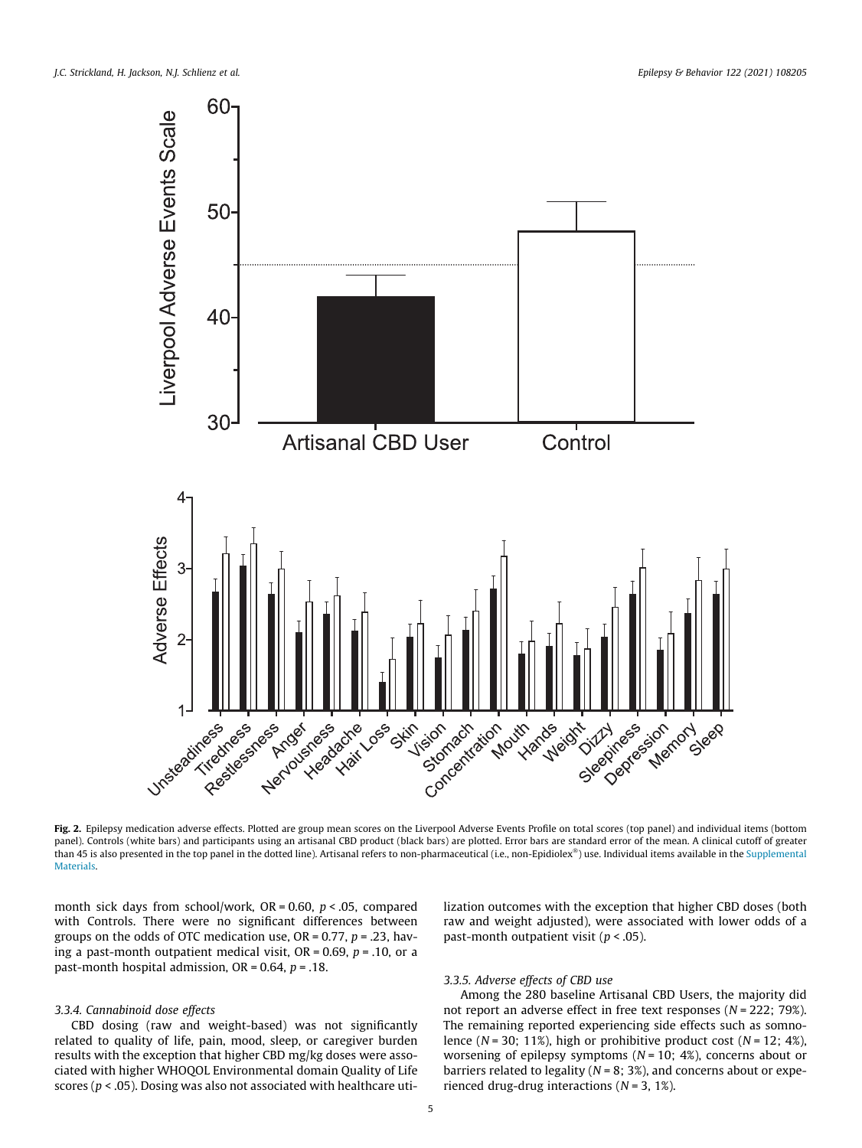<span id="page-4-0"></span>

Fig. 2. Epilepsy medication adverse effects. Plotted are group mean scores on the Liverpool Adverse Events Profile on total scores (top panel) and individual items (bottom panel). Controls (white bars) and participants using an artisanal CBD product (black bars) are plotted. Error bars are standard error of the mean. A clinical cutoff of greater .<br>than 45 is also presented in the top panel in the dotted line). Artisanal refers to non-pharmaceutical (i.e., non-Epidiolex®) use. Individual items available in the Supplemental **Materials** 

month sick days from school/work, OR = 0.60, *p* < .05, compared with Controls. There were no significant differences between groups on the odds of OTC medication use, OR = 0.77, *p* = .23, having a past-month outpatient medical visit, OR = 0.69, *p* = .10, or a past-month hospital admission, OR = 0.64, *p* = .18.

# *3.3.4. Cannabinoid dose effects*

CBD dosing (raw and weight-based) was not significantly related to quality of life, pain, mood, sleep, or caregiver burden results with the exception that higher CBD mg/kg doses were associated with higher WHOQOL Environmental domain Quality of Life scores (*p* < .05). Dosing was also not associated with healthcare utilization outcomes with the exception that higher CBD doses (both raw and weight adjusted), were associated with lower odds of a past-month outpatient visit (*p* < .05).

# *3.3.5. Adverse effects of CBD use*

Among the 280 baseline Artisanal CBD Users, the majority did not report an adverse effect in free text responses (*N* = 222; 79%). The remaining reported experiencing side effects such as somnolence (*N* = 30; 11%), high or prohibitive product cost (*N* = 12; 4%), worsening of epilepsy symptoms (*N* = 10; 4%), concerns about or barriers related to legality ( $N = 8$ ; 3%), and concerns about or experienced drug-drug interactions (*N* = 3, 1%).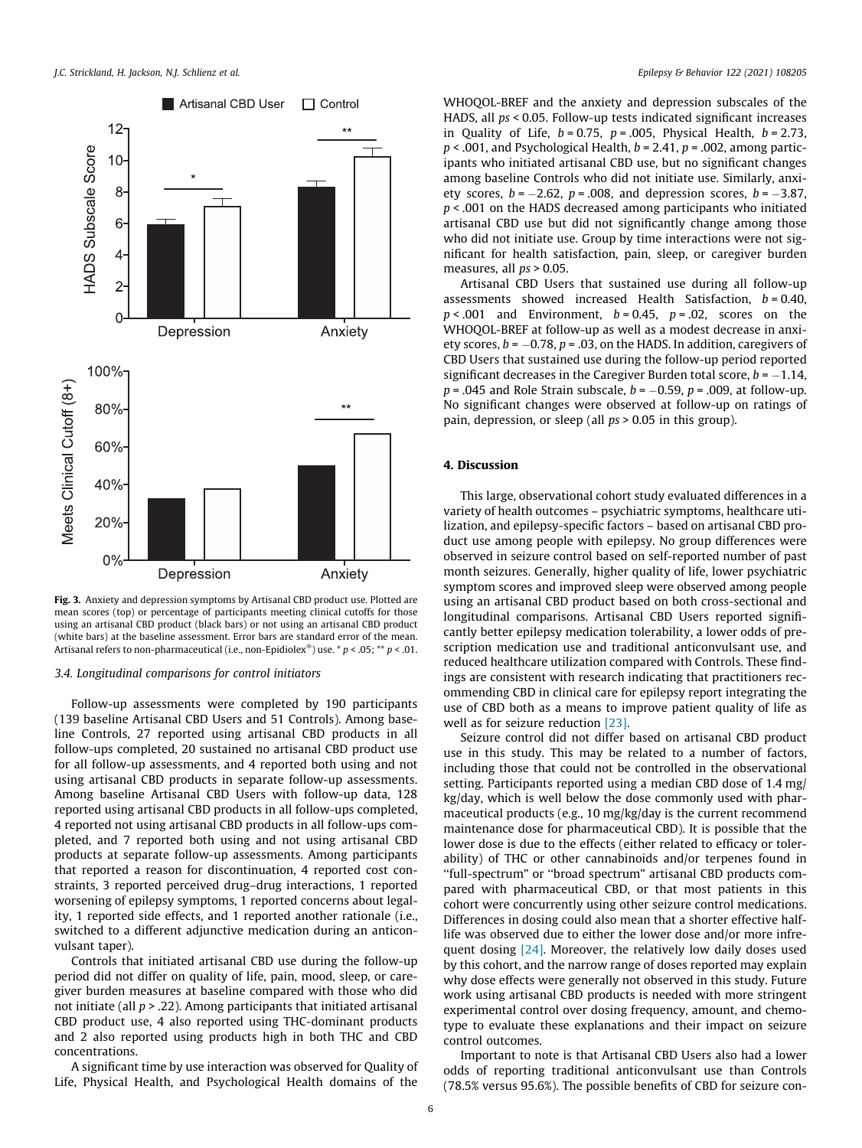<span id="page-5-0"></span>

Fig. 3. Anxiety and depression symptoms by Artisanal CBD product use. Plotted are mean scores (top) or percentage of participants meeting clinical cutoffs for those using an artisanal CBD product (black bars) or not using an artisanal CBD product (white bars) at the baseline assessment. Error bars are standard error of the mean. Artisanal refers to non-pharmaceutical (i.e., non-Epidiolex ) use. \* *p* < .05; \*\* *p* < .01.

### *3.4. Longitudinal comparisons for control initiators*

Follow-up assessments were completed by 190 participants (139 baseline Artisanal CBD Users and 51 Controls). Among baseline Controls, 27 reported using artisanal CBD products in all follow-ups completed, 20 sustained no artisanal CBD product use for all follow-up assessments, and 4 reported both using and not using artisanal CBD products in separate follow-up assessments. Among baseline Artisanal CBD Users with follow-up data, 128 reported using artisanal CBD products in all follow-ups completed, 4 reported not using artisanal CBD products in all follow-ups completed, and 7 reported both using and not using artisanal CBD products at separate follow-up assessments. Among participants that reported a reason for discontinuation, 4 reported cost constraints, 3 reported perceived drug–drug interactions, 1 reported worsening of epilepsy symptoms, 1 reported concerns about legality, 1 reported side effects, and 1 reported another rationale (i.e., switched to a different adjunctive medication during an anticonvulsant taper).

Controls that initiated artisanal CBD use during the follow-up period did not differ on quality of life, pain, mood, sleep, or caregiver burden measures at baseline compared with those who did not initiate (all *p* > .22). Among participants that initiated artisanal CBD product use, 4 also reported using THC-dominant products and 2 also reported using products high in both THC and CBD concentrations.

A significant time by use interaction was observed for Quality of Life, Physical Health, and Psychological Health domains of the WHOQOL-BREF and the anxiety and depression subscales of the HADS, all *ps* < 0.05. Follow-up tests indicated significant increases in Quality of Life, *b* = 0.75, *p* = .005, Physical Health, *b* = 2.73, *p* < .001, and Psychological Health, *b* = 2.41, *p* = .002, among participants who initiated artisanal CBD use, but no significant changes among baseline Controls who did not initiate use. Similarly, anxiety scores,  $b = -2.62$ ,  $p = .008$ , and depression scores,  $b = -3.87$ , *p* < .001 on the HADS decreased among participants who initiated artisanal CBD use but did not significantly change among those who did not initiate use. Group by time interactions were not significant for health satisfaction, pain, sleep, or caregiver burden measures, all *ps* > 0.05.

Artisanal CBD Users that sustained use during all follow-up assessments showed increased Health Satisfaction, *b* = 0.40, *p* < .001 and Environment, *b* = 0.45, *p* = .02, scores on the WHOQOL-BREF at follow-up as well as a modest decrease in anxiety scores,  $b = -0.78$ ,  $p = .03$ , on the HADS. In addition, caregivers of CBD Users that sustained use during the follow-up period reported significant decreases in the Caregiver Burden total score,  $b = -1.14$ ,  $p = 0.045$  and Role Strain subscale,  $b = -0.59$ ,  $p = 0.009$ , at follow-up. No significant changes were observed at follow-up on ratings of pain, depression, or sleep (all *ps* > 0.05 in this group).

# 4. Discussion

This large, observational cohort study evaluated differences in a variety of health outcomes – psychiatric symptoms, healthcare utilization, and epilepsy-specific factors – based on artisanal CBD product use among people with epilepsy. No group differences were observed in seizure control based on self-reported number of past month seizures. Generally, higher quality of life, lower psychiatric symptom scores and improved sleep were observed among people using an artisanal CBD product based on both cross-sectional and longitudinal comparisons. Artisanal CBD Users reported significantly better epilepsy medication tolerability, a lower odds of prescription medication use and traditional anticonvulsant use, and reduced healthcare utilization compared with Controls. These findings are consistent with research indicating that practitioners recommending CBD in clinical care for epilepsy report integrating the use of CBD both as a means to improve patient quality of life as well as for seizure reduction [\[23\]](#page-7-0).

Seizure control did not differ based on artisanal CBD product use in this study. This may be related to a number of factors, including those that could not be controlled in the observational setting. Participants reported using a median CBD dose of 1.4 mg/ kg/day, which is well below the dose commonly used with pharmaceutical products (e.g., 10 mg/kg/day is the current recommend maintenance dose for pharmaceutical CBD). It is possible that the lower dose is due to the effects (either related to efficacy or tolerability) of THC or other cannabinoids and/or terpenes found in ''full-spectrum" or ''broad spectrum" artisanal CBD products compared with pharmaceutical CBD, or that most patients in this cohort were concurrently using other seizure control medications. Differences in dosing could also mean that a shorter effective halflife was observed due to either the lower dose and/or more infre-quent dosing [\[24\]](#page-8-0). Moreover, the relatively low daily doses used by this cohort, and the narrow range of doses reported may explain why dose effects were generally not observed in this study. Future work using artisanal CBD products is needed with more stringent experimental control over dosing frequency, amount, and chemotype to evaluate these explanations and their impact on seizure control outcomes.

Important to note is that Artisanal CBD Users also had a lower odds of reporting traditional anticonvulsant use than Controls (78.5% versus 95.6%). The possible benefits of CBD for seizure con-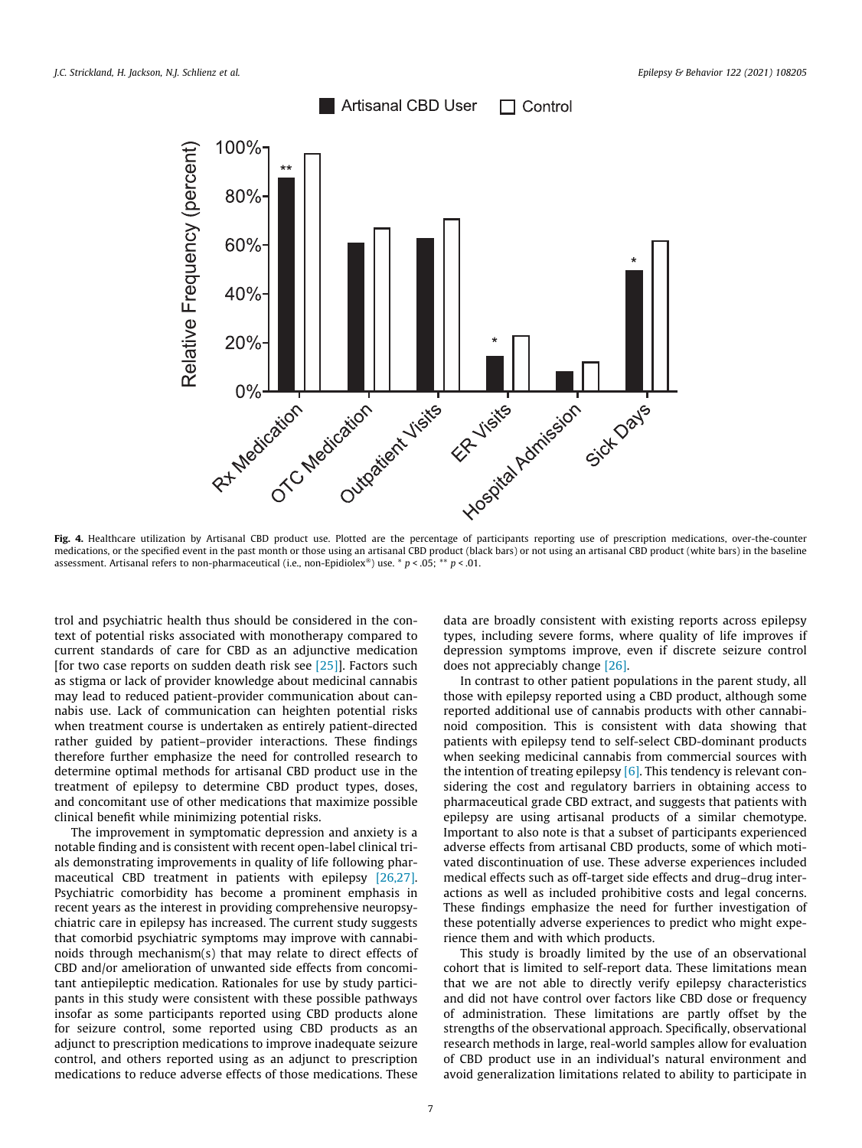<span id="page-6-0"></span>

Fig. 4. Healthcare utilization by Artisanal CBD product use. Plotted are the percentage of participants reporting use of prescription medications, over-the-counter medications, or the specified event in the past month or those using an artisanal CBD product (black bars) or not using an artisanal CBD product (white bars) in the baseline assessment. Artisanal refers to non-pharmaceutical (i.e., non-Epidiolex ) use. \* *p* < .05; \*\* *p* < .01.

trol and psychiatric health thus should be considered in the context of potential risks associated with monotherapy compared to current standards of care for CBD as an adjunctive medication [for two case reports on sudden death risk see [\[25\]\]](#page-8-0). Factors such as stigma or lack of provider knowledge about medicinal cannabis may lead to reduced patient-provider communication about cannabis use. Lack of communication can heighten potential risks when treatment course is undertaken as entirely patient-directed rather guided by patient–provider interactions. These findings therefore further emphasize the need for controlled research to determine optimal methods for artisanal CBD product use in the treatment of epilepsy to determine CBD product types, doses, and concomitant use of other medications that maximize possible clinical benefit while minimizing potential risks.

The improvement in symptomatic depression and anxiety is a notable finding and is consistent with recent open-label clinical trials demonstrating improvements in quality of life following pharmaceutical CBD treatment in patients with epilepsy [\[26,27\].](#page-8-0) Psychiatric comorbidity has become a prominent emphasis in recent years as the interest in providing comprehensive neuropsychiatric care in epilepsy has increased. The current study suggests that comorbid psychiatric symptoms may improve with cannabinoids through mechanism(s) that may relate to direct effects of CBD and/or amelioration of unwanted side effects from concomitant antiepileptic medication. Rationales for use by study participants in this study were consistent with these possible pathways insofar as some participants reported using CBD products alone for seizure control, some reported using CBD products as an adjunct to prescription medications to improve inadequate seizure control, and others reported using as an adjunct to prescription medications to reduce adverse effects of those medications. These data are broadly consistent with existing reports across epilepsy types, including severe forms, where quality of life improves if depression symptoms improve, even if discrete seizure control does not appreciably change [\[26\]](#page-8-0).

In contrast to other patient populations in the parent study, all those with epilepsy reported using a CBD product, although some reported additional use of cannabis products with other cannabinoid composition. This is consistent with data showing that patients with epilepsy tend to self-select CBD-dominant products when seeking medicinal cannabis from commercial sources with the intention of treating epilepsy [\[6\]](#page-7-0). This tendency is relevant considering the cost and regulatory barriers in obtaining access to pharmaceutical grade CBD extract, and suggests that patients with epilepsy are using artisanal products of a similar chemotype. Important to also note is that a subset of participants experienced adverse effects from artisanal CBD products, some of which motivated discontinuation of use. These adverse experiences included medical effects such as off-target side effects and drug–drug interactions as well as included prohibitive costs and legal concerns. These findings emphasize the need for further investigation of these potentially adverse experiences to predict who might experience them and with which products.

This study is broadly limited by the use of an observational cohort that is limited to self-report data. These limitations mean that we are not able to directly verify epilepsy characteristics and did not have control over factors like CBD dose or frequency of administration. These limitations are partly offset by the strengths of the observational approach. Specifically, observational research methods in large, real-world samples allow for evaluation of CBD product use in an individual's natural environment and avoid generalization limitations related to ability to participate in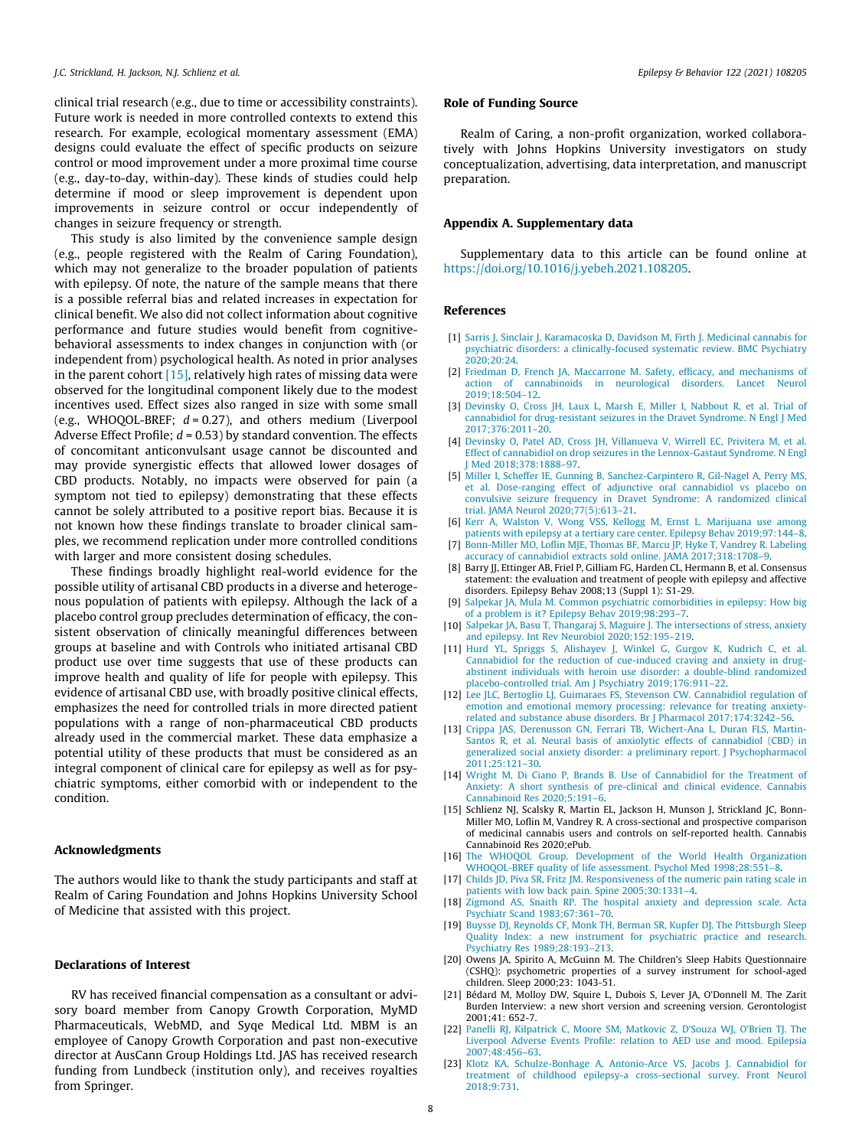<span id="page-7-0"></span>clinical trial research (e.g., due to time or accessibility constraints). Future work is needed in more controlled contexts to extend this research. For example, ecological momentary assessment (EMA) designs could evaluate the effect of specific products on seizure control or mood improvement under a more proximal time course (e.g., day-to-day, within-day). These kinds of studies could help determine if mood or sleep improvement is dependent upon improvements in seizure control or occur independently of changes in seizure frequency or strength.

This study is also limited by the convenience sample design (e.g., people registered with the Realm of Caring Foundation), which may not generalize to the broader population of patients with epilepsy. Of note, the nature of the sample means that there is a possible referral bias and related increases in expectation for clinical benefit. We also did not collect information about cognitive performance and future studies would benefit from cognitivebehavioral assessments to index changes in conjunction with (or independent from) psychological health. As noted in prior analyses in the parent cohort  $[15]$ , relatively high rates of missing data were observed for the longitudinal component likely due to the modest incentives used. Effect sizes also ranged in size with some small (e.g., WHOQOL-BREF; *d* = 0.27), and others medium (Liverpool Adverse Effect Profile; *d* = 0.53) by standard convention. The effects of concomitant anticonvulsant usage cannot be discounted and may provide synergistic effects that allowed lower dosages of CBD products. Notably, no impacts were observed for pain (a symptom not tied to epilepsy) demonstrating that these effects cannot be solely attributed to a positive report bias. Because it is not known how these findings translate to broader clinical samples, we recommend replication under more controlled conditions with larger and more consistent dosing schedules.

These findings broadly highlight real-world evidence for the possible utility of artisanal CBD products in a diverse and heterogenous population of patients with epilepsy. Although the lack of a placebo control group precludes determination of efficacy, the consistent observation of clinically meaningful differences between groups at baseline and with Controls who initiated artisanal CBD product use over time suggests that use of these products can improve health and quality of life for people with epilepsy. This evidence of artisanal CBD use, with broadly positive clinical effects, emphasizes the need for controlled trials in more directed patient populations with a range of non-pharmaceutical CBD products already used in the commercial market. These data emphasize a potential utility of these products that must be considered as an integral component of clinical care for epilepsy as well as for psychiatric symptoms, either comorbid with or independent to the condition.

#### Acknowledgments

The authors would like to thank the study participants and staff at Realm of Caring Foundation and Johns Hopkins University School of Medicine that assisted with this project.

#### Declarations of Interest

RV has received financial compensation as a consultant or advisory board member from Canopy Growth Corporation, MyMD Pharmaceuticals, WebMD, and Syqe Medical Ltd. MBM is an employee of Canopy Growth Corporation and past non-executive director at AusCann Group Holdings Ltd. JAS has received research funding from Lundbeck (institution only), and receives royalties from Springer.

# Role of Funding Source

Realm of Caring, a non-profit organization, worked collaboratively with Johns Hopkins University investigators on study conceptualization, advertising, data interpretation, and manuscript preparation.

### Appendix A. Supplementary data

Supplementary data to this article can be found online at [https://doi.org/10.1016/j.yebeh.2021.108205.](https://doi.org/10.1016/j.yebeh.2021.108205)

### References

- [1] [Sarris J, Sinclair J, Karamacoska D, Davidson M, Firth J. Medicinal cannabis for](http://refhub.elsevier.com/S1525-5050(21)00466-2/h0005) [psychiatric disorders: a clinically-focused systematic review. BMC Psychiatry](http://refhub.elsevier.com/S1525-5050(21)00466-2/h0005) [2020;20:24.](http://refhub.elsevier.com/S1525-5050(21)00466-2/h0005)
- [2] [Friedman D, French JA, Maccarrone M. Safety, efficacy, and mechanisms of](http://refhub.elsevier.com/S1525-5050(21)00466-2/h0010) [action of cannabinoids in neurological disorders. Lancet Neurol](http://refhub.elsevier.com/S1525-5050(21)00466-2/h0010) [2019;18:504–12.](http://refhub.elsevier.com/S1525-5050(21)00466-2/h0010)
- [3] [Devinsky O, Cross JH, Laux L, Marsh E, Miller I, Nabbout R, et al. Trial of](http://refhub.elsevier.com/S1525-5050(21)00466-2/h0015) [cannabidiol for drug-resistant seizures in the Dravet Syndrome. N Engl J Med](http://refhub.elsevier.com/S1525-5050(21)00466-2/h0015) [2017;376:2011–20](http://refhub.elsevier.com/S1525-5050(21)00466-2/h0015).
- [4] [Devinsky O, Patel AD, Cross JH, Villanueva V, Wirrell EC, Privitera M, et al.](http://refhub.elsevier.com/S1525-5050(21)00466-2/h0020) [Effect of cannabidiol on drop seizures in the Lennox-Gastaut Syndrome. N Engl](http://refhub.elsevier.com/S1525-5050(21)00466-2/h0020) [J Med 2018;378:1888–97](http://refhub.elsevier.com/S1525-5050(21)00466-2/h0020).
- [5] [Miller I, Scheffer IE, Gunning B, Sanchez-Carpintero R, Gil-Nagel A, Perry MS,](http://refhub.elsevier.com/S1525-5050(21)00466-2/h0025) [et al. Dose-ranging effect of adjunctive oral cannabidiol vs placebo on](http://refhub.elsevier.com/S1525-5050(21)00466-2/h0025) [convulsive seizure frequency in Dravet Syndrome: A randomized clinical](http://refhub.elsevier.com/S1525-5050(21)00466-2/h0025) [trial. JAMA Neurol 2020;77\(5\):613–21](http://refhub.elsevier.com/S1525-5050(21)00466-2/h0025).
- [6] [Kerr A, Walston V, Wong VSS, Kellogg M, Ernst L. Marijuana use among](http://refhub.elsevier.com/S1525-5050(21)00466-2/h0030) [patients with epilepsy at a tertiary care center. Epilepsy Behav 2019;97:144–8](http://refhub.elsevier.com/S1525-5050(21)00466-2/h0030).
- [7] [Bonn-Miller MO, Loflin MJE, Thomas BF, Marcu JP, Hyke T, Vandrey R. Labeling](http://refhub.elsevier.com/S1525-5050(21)00466-2/h0035) [accuracy of cannabidiol extracts sold online. JAMA 2017;318:1708–9.](http://refhub.elsevier.com/S1525-5050(21)00466-2/h0035)
- [8] Barry JJ, Ettinger AB, Friel P, Gilliam FG, Harden CL, Hermann B, et al. Consensus statement: the evaluation and treatment of people with epilepsy and affective disorders. Epilepsy Behav 2008;13 (Suppl 1): S1-29.
- [9] [Salpekar JA, Mula M. Common psychiatric comorbidities in epilepsy: How big](http://refhub.elsevier.com/S1525-5050(21)00466-2/h0045) [of a problem is it? Epilepsy Behav 2019;98:293–7](http://refhub.elsevier.com/S1525-5050(21)00466-2/h0045).
- [10] [Salpekar JA, Basu T, Thangaraj S, Maguire J. The intersections of stress, anxiety](http://refhub.elsevier.com/S1525-5050(21)00466-2/h0050) [and epilepsy. Int Rev Neurobiol 2020;152:195–219](http://refhub.elsevier.com/S1525-5050(21)00466-2/h0050).
- [11] [Hurd YL, Spriggs S, Alishayev J, Winkel G, Gurgov K, Kudrich C, et al.](http://refhub.elsevier.com/S1525-5050(21)00466-2/h0055) [Cannabidiol for the reduction of cue-induced craving and anxiety in drug](http://refhub.elsevier.com/S1525-5050(21)00466-2/h0055)[abstinent individuals with heroin use disorder: a double-blind randomized](http://refhub.elsevier.com/S1525-5050(21)00466-2/h0055) [placebo-controlled trial. Am J Psychiatry 2019;176:911–22.](http://refhub.elsevier.com/S1525-5050(21)00466-2/h0055)
- [12] [Lee JLC, Bertoglio LJ, Guimaraes FS, Stevenson CW. Cannabidiol regulation of](http://refhub.elsevier.com/S1525-5050(21)00466-2/h0060) [emotion and emotional memory processing: relevance for treating anxiety](http://refhub.elsevier.com/S1525-5050(21)00466-2/h0060)[related and substance abuse disorders. Br J Pharmacol 2017;174:3242–56](http://refhub.elsevier.com/S1525-5050(21)00466-2/h0060).
- [13] [Crippa JAS, Derenusson GN, Ferrari TB, Wichert-Ana L, Duran FLS, Martin-](http://refhub.elsevier.com/S1525-5050(21)00466-2/h0065)[Santos R, et al. Neural basis of anxiolytic effects of cannabidiol \(CBD\) in](http://refhub.elsevier.com/S1525-5050(21)00466-2/h0065) [generalized social anxiety disorder: a preliminary report. J Psychopharmacol](http://refhub.elsevier.com/S1525-5050(21)00466-2/h0065) [2011;25:121–30](http://refhub.elsevier.com/S1525-5050(21)00466-2/h0065).
- [14] [Wright M, Di Ciano P, Brands B. Use of Cannabidiol for the Treatment of](http://refhub.elsevier.com/S1525-5050(21)00466-2/h0070) [Anxiety: A short synthesis of pre-clinical and clinical evidence. Cannabis](http://refhub.elsevier.com/S1525-5050(21)00466-2/h0070) [Cannabinoid Res 2020;5:191–6](http://refhub.elsevier.com/S1525-5050(21)00466-2/h0070).
- [15] Schlienz NJ, Scalsky R, Martin EL, Jackson H, Munson J, Strickland JC, Bonn-Miller MO, Loflin M, Vandrey R. A cross-sectional and prospective comparison of medicinal cannabis users and controls on self-reported health. Cannabis Cannabinoid Res 2020;ePub.
- [16] [The WHOQOL Group. Development of the World Health Organization](http://refhub.elsevier.com/S1525-5050(21)00466-2/h0080) [WHOQOL-BREF quality of life assessment. Psychol Med 1998;28:551–8](http://refhub.elsevier.com/S1525-5050(21)00466-2/h0080).
- [17] [Childs JD, Piva SR, Fritz JM. Responsiveness of the numeric pain rating scale in](http://refhub.elsevier.com/S1525-5050(21)00466-2/h0085) [patients with low back pain. Spine 2005;30:1331–4](http://refhub.elsevier.com/S1525-5050(21)00466-2/h0085).
- [18] [Zigmond AS, Snaith RP. The hospital anxiety and depression scale. Acta](http://refhub.elsevier.com/S1525-5050(21)00466-2/h0090) [Psychiatr Scand 1983;67:361–70](http://refhub.elsevier.com/S1525-5050(21)00466-2/h0090).
- [19] [Buysse DJ, Reynolds CF, Monk TH, Berman SR, Kupfer DJ. The Pittsburgh Sleep](http://refhub.elsevier.com/S1525-5050(21)00466-2/h0095) [Quality Index: a new instrument for psychiatric practice and research.](http://refhub.elsevier.com/S1525-5050(21)00466-2/h0095) [Psychiatry Res 1989;28:193–213](http://refhub.elsevier.com/S1525-5050(21)00466-2/h0095).
- [20] Owens JA, Spirito A, McGuinn M. The Children's Sleep Habits Questionnaire (CSHQ): psychometric properties of a survey instrument for school-aged children. Sleep 2000;23: 1043-51.
- [21] Bédard M, Molloy DW, Squire L, Dubois S, Lever JA, O'Donnell M. The Zarit Burden Interview: a new short version and screening version. Gerontologist 2001;41: 652-7.
- [22] [Panelli RJ, Kilpatrick C, Moore SM, Matkovic Z, D'Souza WJ, O'Brien TJ. The](http://refhub.elsevier.com/S1525-5050(21)00466-2/h0110) [Liverpool Adverse Events Profile: relation to AED use and mood. Epilepsia](http://refhub.elsevier.com/S1525-5050(21)00466-2/h0110) [2007;48:456–63](http://refhub.elsevier.com/S1525-5050(21)00466-2/h0110).
- [23] [Klotz KA, Schulze-Bonhage A, Antonio-Arce VS, Jacobs J. Cannabidiol for](http://refhub.elsevier.com/S1525-5050(21)00466-2/h0115) [treatment of childhood epilepsy-a cross-sectional survey. Front Neurol](http://refhub.elsevier.com/S1525-5050(21)00466-2/h0115) [2018;9:731](http://refhub.elsevier.com/S1525-5050(21)00466-2/h0115).